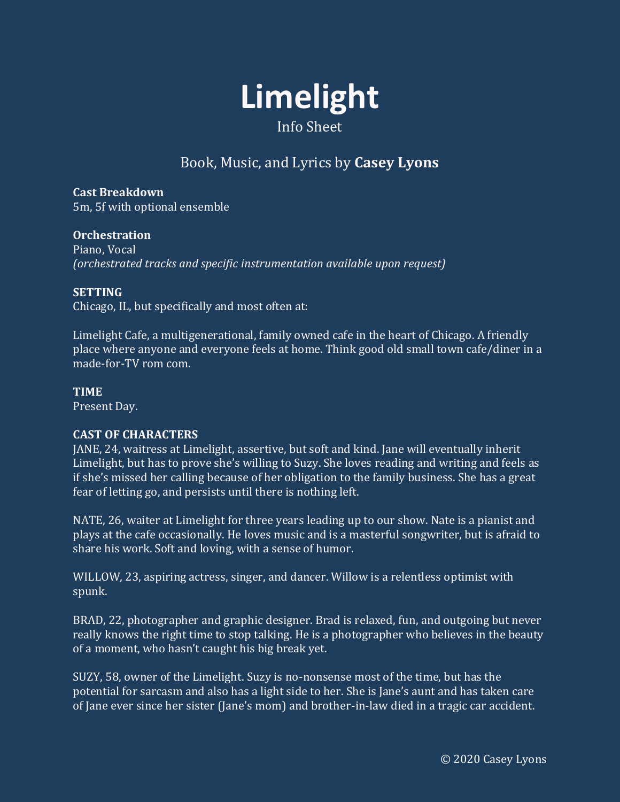

# Book, Music, and Lyrics by **Casey Lyons**

**Cast Breakdown** 5m, 5f with optional ensemble

# **Orchestration**

Piano, Vocal *(orchestrated tracks and specific instrumentation available upon request)*

## **SETTING**

Chicago, IL, but specifically and most often at:

Limelight Cafe, a multigenerational, family owned cafe in the heart of Chicago. A friendly place where anyone and everyone feels at home. Think good old small town cafe/diner in a made-for-TV rom com.

## **TIME**

Present Day.

# **CAST OF CHARACTERS**

JANE, 24, waitress at Limelight, assertive, but soft and kind. Jane will eventually inherit Limelight, but has to prove she's willing to Suzy. She loves reading and writing and feels as if she's missed her calling because of her obligation to the family business. She has a great fear of letting go, and persists until there is nothing left.

NATE, 26, waiter at Limelight for three years leading up to our show. Nate is a pianist and plays at the cafe occasionally. He loves music and is a masterful songwriter, but is afraid to share his work. Soft and loving, with a sense of humor.

WILLOW, 23, aspiring actress, singer, and dancer. Willow is a relentless optimist with spunk.

BRAD, 22, photographer and graphic designer. Brad is relaxed, fun, and outgoing but never really knows the right time to stop talking. He is a photographer who believes in the beauty of a moment, who hasn't caught his big break yet.

SUZY, 58, owner of the Limelight. Suzy is no-nonsense most of the time, but has the potential for sarcasm and also has a light side to her. She is Jane's aunt and has taken care of Jane ever since her sister (Jane's mom) and brother-in-law died in a tragic car accident.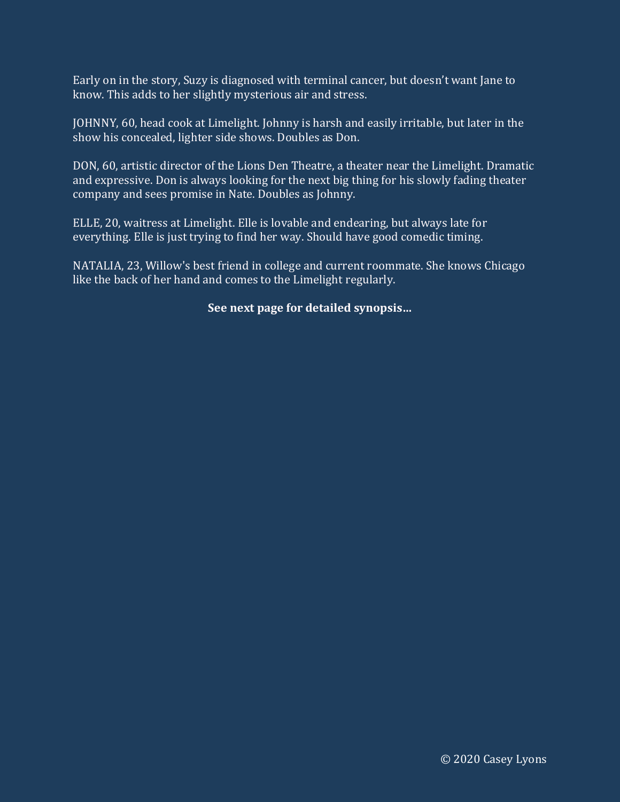Early on in the story, Suzy is diagnosed with terminal cancer, but doesn't want Jane to know. This adds to her slightly mysterious air and stress.

JOHNNY, 60, head cook at Limelight. Johnny is harsh and easily irritable, but later in the show his concealed, lighter side shows. Doubles as Don.

DON, 60, artistic director of the Lions Den Theatre, a theater near the Limelight. Dramatic and expressive. Don is always looking for the next big thing for his slowly fading theater company and sees promise in Nate. Doubles as Johnny.

ELLE, 20, waitress at Limelight. Elle is lovable and endearing, but always late for everything. Elle is just trying to find her way. Should have good comedic timing.

NATALIA, 23, Willow's best friend in college and current roommate. She knows Chicago like the back of her hand and comes to the Limelight regularly.

# **See next page for detailed synopsis…**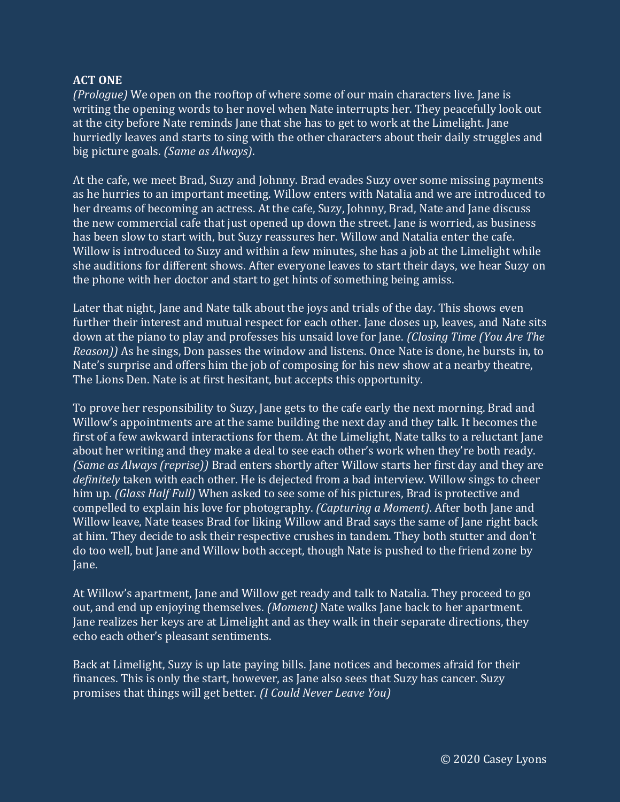## **ACT ONE**

*(Prologue)* We open on the rooftop of where some of our main characters live. Jane is writing the opening words to her novel when Nate interrupts her. They peacefully look out at the city before Nate reminds Jane that she has to get to work at the Limelight. Jane hurriedly leaves and starts to sing with the other characters about their daily struggles and big picture goals. *(Same as Always)*.

At the cafe, we meet Brad, Suzy and Johnny. Brad evades Suzy over some missing payments as he hurries to an important meeting. Willow enters with Natalia and we are introduced to her dreams of becoming an actress. At the cafe, Suzy, Johnny, Brad, Nate and Jane discuss the new commercial cafe that just opened up down the street. Jane is worried, as business has been slow to start with, but Suzy reassures her. Willow and Natalia enter the cafe. Willow is introduced to Suzy and within a few minutes, she has a job at the Limelight while she auditions for different shows. After everyone leaves to start their days, we hear Suzy on the phone with her doctor and start to get hints of something being amiss.

Later that night, Jane and Nate talk about the joys and trials of the day. This shows even further their interest and mutual respect for each other. Jane closes up, leaves, and Nate sits down at the piano to play and professes his unsaid love for Jane. *(Closing Time (You Are The Reason))* As he sings, Don passes the window and listens. Once Nate is done, he bursts in, to Nate's surprise and offers him the job of composing for his new show at a nearby theatre, The Lions Den. Nate is at first hesitant, but accepts this opportunity.

To prove her responsibility to Suzy, Jane gets to the cafe early the next morning. Brad and Willow's appointments are at the same building the next day and they talk. It becomes the first of a few awkward interactions for them. At the Limelight, Nate talks to a reluctant Jane about her writing and they make a deal to see each other's work when they're both ready. *(Same as Always (reprise))* Brad enters shortly after Willow starts her first day and they are *definitely* taken with each other. He is dejected from a bad interview. Willow sings to cheer him up. *(Glass Half Full)* When asked to see some of his pictures, Brad is protective and compelled to explain his love for photography. *(Capturing a Moment)*. After both Jane and Willow leave, Nate teases Brad for liking Willow and Brad says the same of Jane right back at him. They decide to ask their respective crushes in tandem. They both stutter and don't do too well, but Jane and Willow both accept, though Nate is pushed to the friend zone by Jane.

At Willow's apartment, Jane and Willow get ready and talk to Natalia. They proceed to go out, and end up enjoying themselves. *(Moment)* Nate walks Jane back to her apartment. Jane realizes her keys are at Limelight and as they walk in their separate directions, they echo each other's pleasant sentiments.

Back at Limelight, Suzy is up late paying bills. Jane notices and becomes afraid for their finances. This is only the start, however, as Jane also sees that Suzy has cancer. Suzy promises that things will get better. *(I Could Never Leave You)*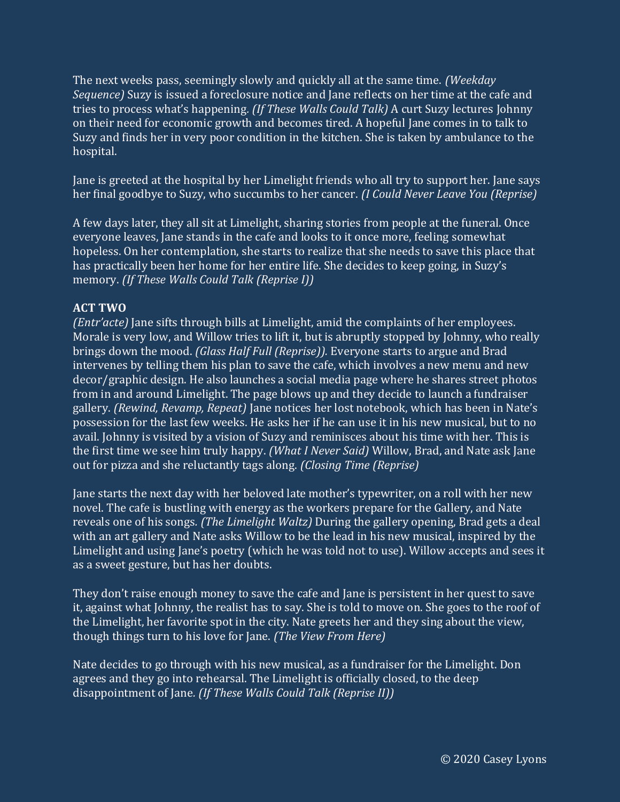The next weeks pass, seemingly slowly and quickly all at the same time. *(Weekday Sequence)* Suzy is issued a foreclosure notice and Jane reflects on her time at the cafe and tries to process what's happening*. (If These Walls Could Talk)* A curt Suzy lectures Johnny on their need for economic growth and becomes tired. A hopeful Jane comes in to talk to Suzy and finds her in very poor condition in the kitchen. She is taken by ambulance to the hospital.

Jane is greeted at the hospital by her Limelight friends who all try to support her. Jane says her final goodbye to Suzy, who succumbs to her cancer. *(I Could Never Leave You (Reprise)*

A few days later, they all sit at Limelight, sharing stories from people at the funeral. Once everyone leaves, Jane stands in the cafe and looks to it once more, feeling somewhat hopeless. On her contemplation, she starts to realize that she needs to save this place that has practically been her home for her entire life. She decides to keep going, in Suzy's memory. *(If These Walls Could Talk (Reprise I))*

## **ACT TWO**

*(Entr'acte)* Jane sifts through bills at Limelight, amid the complaints of her employees. Morale is very low, and Willow tries to lift it, but is abruptly stopped by Johnny, who really brings down the mood. *(Glass Half Full (Reprise)).* Everyone starts to argue and Brad intervenes by telling them his plan to save the cafe, which involves a new menu and new decor/graphic design. He also launches a social media page where he shares street photos from in and around Limelight. The page blows up and they decide to launch a fundraiser gallery. *(Rewind, Revamp, Repeat)* Jane notices her lost notebook, which has been in Nate's possession for the last few weeks. He asks her if he can use it in his new musical, but to no avail. Johnny is visited by a vision of Suzy and reminisces about his time with her. This is the first time we see him truly happy. *(What I Never Said)* Willow, Brad, and Nate ask Jane out for pizza and she reluctantly tags along. *(Closing Time (Reprise)*

Jane starts the next day with her beloved late mother's typewriter, on a roll with her new novel. The cafe is bustling with energy as the workers prepare for the Gallery, and Nate reveals one of his songs*. (The Limelight Waltz)* During the gallery opening, Brad gets a deal with an art gallery and Nate asks Willow to be the lead in his new musical, inspired by the Limelight and using Jane's poetry (which he was told not to use). Willow accepts and sees it as a sweet gesture, but has her doubts.

They don't raise enough money to save the cafe and Jane is persistent in her quest to save it, against what Johnny, the realist has to say. She is told to move on. She goes to the roof of the Limelight, her favorite spot in the city. Nate greets her and they sing about the view, though things turn to his love for Jane. *(The View From Here)*

Nate decides to go through with his new musical, as a fundraiser for the Limelight. Don agrees and they go into rehearsal. The Limelight is officially closed, to the deep disappointment of Jane*. (If These Walls Could Talk (Reprise II))*